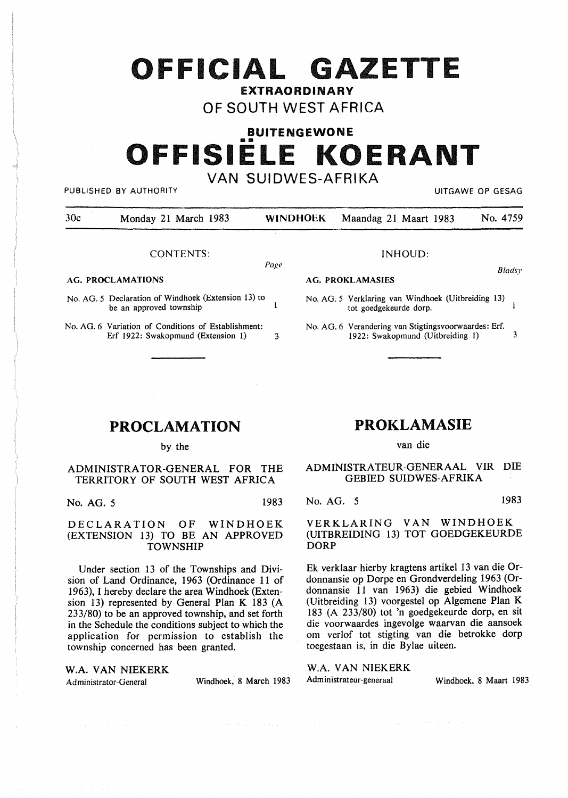# **OFFICIAL G ZETTE**

**EXTRAORDINARY** 

OF SOUTH WEST AFRICA

# **BUITENGEWONE**  •• **OFFISIELE KOERANT**  VAN SUIDWES-AFRIKA

PUBLISHED BY AUTHORITY **AUTHORITY EXAGGE OF SESAGGE AT A STATE OF SESAGGE OF GESAGGE AT A STATE OF GESAGGE AT A STATE OF GESAGGE AT A STATE OF GESAGGE AT A STATE OF GESAGGE AT A STATE OF GESAGGE AT A STATE OF GESAGGE AT** 

| 30c | Monday 21 March 1983 |  | WINDHOEK Maandag 21 Maart 1983 | No. 4759 |
|-----|----------------------|--|--------------------------------|----------|
|     |                      |  |                                |          |

#### CONTENTS:

Page

**AG. PROCLAMATIONS** 

- No. AG. 5 Declaration of Windhoek (Extension 13) to  $\mathbf{1}$ be an approved township
- No. AG. 6 Variation of Conditions of Establishment: Erf 1922: Swakopmund (Extension 1) 3

# **PROCLAMATION**

by the

### ADMINISTRATOR-GENERAL FOR THE TERRITORY OF SOUTH WEST AFRICA

No. AG. 5 1983

DECLARATION OF WINDHOEK (EXTENSION 13) TO BE AN APPROVED TOWNSHIP

Under section 13 of the Townships and Division of Land Ordinance, 1963 (Ordinance 11 of 1963), I hereby declare the area Windhoek (Extension 13) represented by General Plan K 183 (A 233/80) to be an approved township, and set forth in the Schedule the conditions subject to which the application for permission to establish the township concerned has been granted.

# **PROKLAMASIE**

INHOUD:

No. AG. 5 Verklaring van Windhoek (Uitbreiding 13)

No. AG. 6 Verandering van Stigtingsvoorwaardes: Erf.

1922: Swakopmund (Uitbreiding 1) 3

tot goedgekeurde dorp.

van die

### ADMINISTRATEUR-GENERAAL VIR DIE GEBIED SUIDWES-AFRIKA

No. AG. 5 1983

*B/adsy* 

 $\mathbf{1}$ 

VERKLARING VAN WINDHOEK (UITBREIDING 13) TOT GOEDGEKEURDE DORP

Ek verklaar hierby kragtens artikel 13 van die Ordonnansie op Dorpe en Grondverdeling 1963 (Ordonnansie 11 van 1963) die gebied Windhoek (Uitbreiding 13) voorgestel op Algemene Plan K 183 (A 233/80) tot 'n goedgekeurde dorp, en sit die voorwaardes ingevolge waarvan die aansoek om verlof tot stigting van die betrokke dorp toegestaan is, in die Bylae uiteen.

**W.A. VAN NIEKERK** W.A. VAN NIEKERK W.A. VAN NIEKERK Administrateur-General Windhoek 8 March 1983 Administrateur-generaal

Administrator-General Windhoek, 8 March 1983 Administrateur-generaal Windhoek. 8 Maart 1983

**AG. PROKLAMASIES**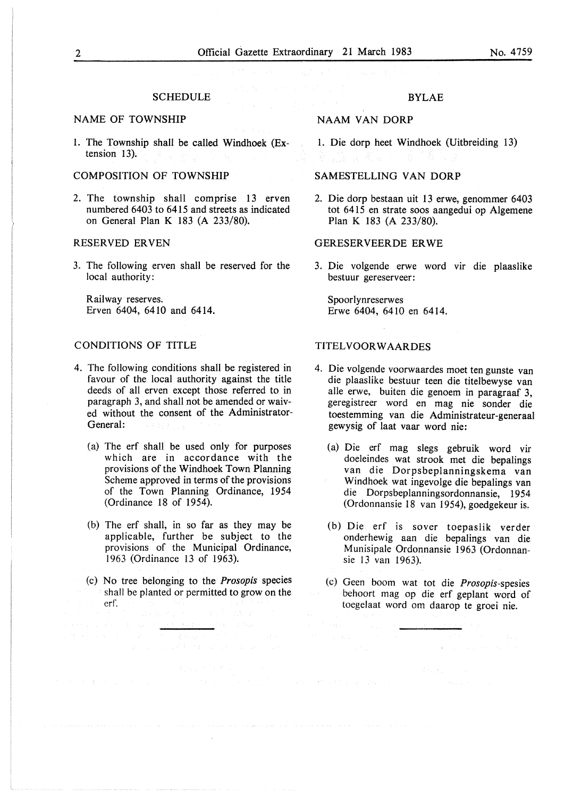#### **SCHEDULE**

#### NAME OF TOWNSHIP

1. The Township shall be called Windhoek (Extension 13).

### COMPOSITION OF TOWNSHIP

2. The township shall comprise 13 erven numbered 6403 to 6415 and streets as indicated on General Plan K 183 (A 233/80).

#### RESERVED ERVEN

3. The following erven shall be reserved for the local authority:

Railway reserves. Erven 6404, 6410 and 6414.

#### CONDITIONS OF TITLE

- 4. The following conditions shall be registered in favour of the local authority against the title deeds of all erven except those referred to in paragraph 3, and shall not be amended or waived without the consent of the Administrator-General:
	- (a) The erf shall be used only for purposes which are in accordance with the provisions of the Windhoek Town Planning Scheme approved in terms of the provisions of the Town Planning Ordinance, 1954 (Ordinance 18 of 1954).
	- (b) The erf shall, in so far as they may be applicable, further be subject to the provisions of the Municipal Ordinance, 1963 (Ordinance 13 of 1963).
	- (c) No tree belonging to the *Prosopis* species shall be planted or permitted to grow on the crf.

#### BYLAE

#### NAAM VAN DORP

1. Die dorp heet Windhoek (Uitbreiding 13)

#### SAMESTELLING VAN DORP

2. Die dorp bestaan uit 13 erwe, genommer 6403 tot 6415 en strate soos aangedui op Algemene Plan K 183 (A 233/80).

#### GERESERVEERDE ERWE

3. Die volgende erwe word vir die plaaslike bestuur gereserveer:

Spoorlynreserwes Erwe 6404, 6410 en 6414.

#### TITELVOOR WAARDES

- 4. Die volgende voorwaardes moet ten gunste van die plaaslike bestuur teen die titelbewyse van alle erwe, buiten die genoem in paragraaf 3, geregistreer word en mag nie sonder die toestemming van die Administrateur-generaal gewysig of laat vaar word nie:
	- (a) Die erf mag slegs gebruik word vir doeleindes wat strook met die bepalings van die Dorpsbeplanningskema van Windhoek wat ingevolge die bepalings van die Dorpsbeplanningsordonnansie, 19 54 (Ordonnansie 18 van 1954), goedgekeur is.
	- (b) Die erf is sover toepaslik verder onderhewig aan die bepalings van die Munisipale Ordonnansie 1963 (Ordonnansie 13 van 1963).
	- (c) Geen boom wat tot die *Prosopis-spesies*  behoort mag op die erf geplant word of toegelaat word om daarop te groei nie.

and the component of